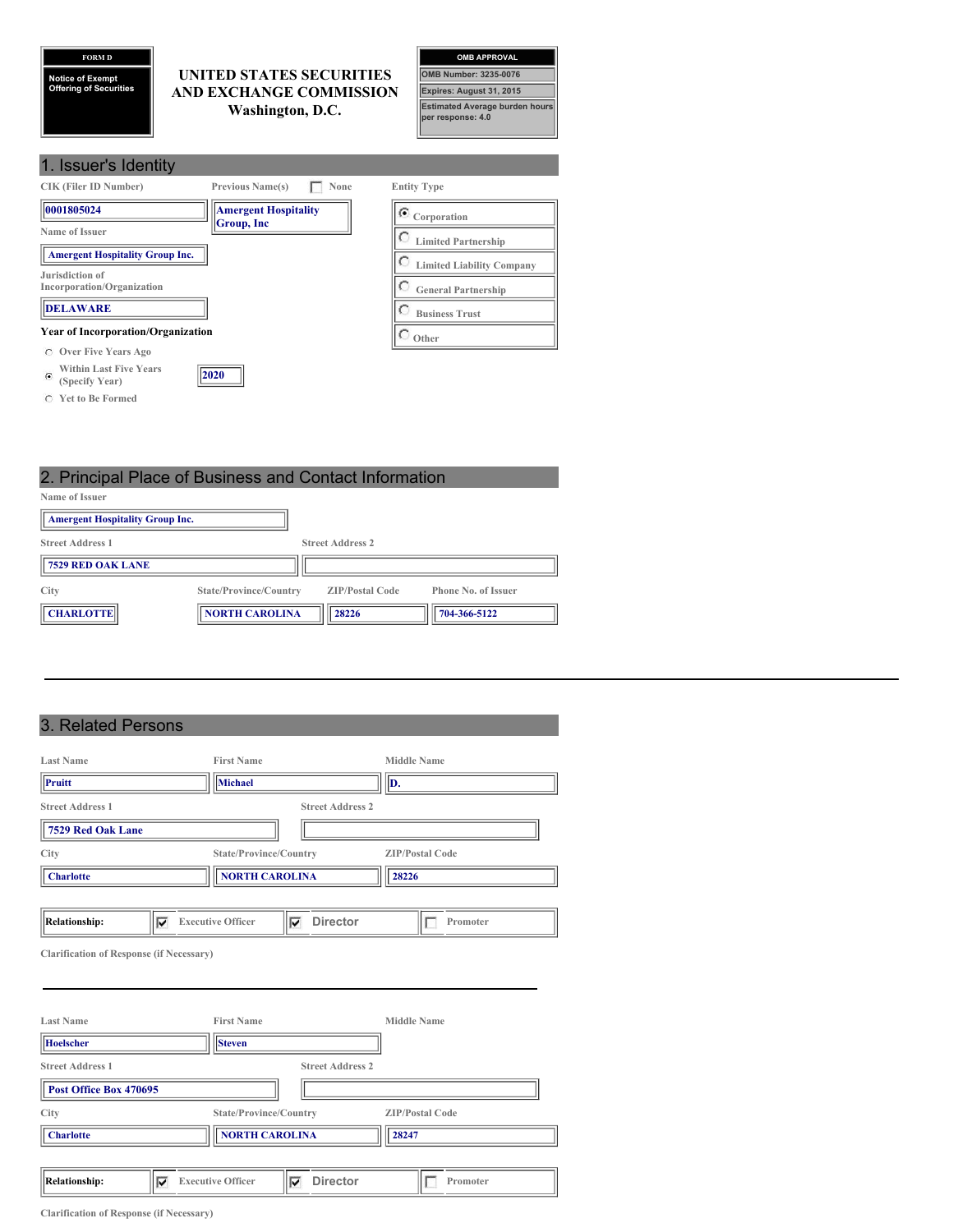**FORM D Notice of Exempt Offering of Securities**

**UNITED STATES SECURITIES AND EXCHANGE COMMISSION Washington, D.C.**



| 1. Issuer's Identity                                             |                                           |                                  |
|------------------------------------------------------------------|-------------------------------------------|----------------------------------|
| <b>CIK (Filer ID Number)</b>                                     | <b>Previous Name(s)</b><br>None           | <b>Entity Type</b>               |
| 0001805024                                                       | <b>Amergent Hospitality</b><br>Group, Inc | $\bullet$ Corporation            |
| Name of Issuer                                                   |                                           | <b>Limited Partnership</b>       |
| <b>Amergent Hospitality Group Inc.</b>                           |                                           | <b>Limited Liability Company</b> |
| Jurisdiction of<br>Incorporation/Organization                    |                                           | <b>General Partnership</b>       |
| <b>DELAWARE</b>                                                  |                                           | <b>Business Trust</b>            |
| <b>Year of Incorporation/Organization</b>                        |                                           | Other                            |
| Over Five Years Ago<br>$\circ$                                   |                                           |                                  |
| <b>Within Last Five Years</b><br>$\mathcal{C}$<br>(Specify Year) | 2020                                      |                                  |

**Yet to Be Formed**

2. Principal Place of Business and Contact Information **Name of Issuer Amergent Hospitality Group Inc. Street Address 1 Street Address 2 7529 RED OAK LANE**

**City State/Province/Country ZIP/Postal Code Phone No. of Issuer T CHARLOTTE NORTH CAROLINA 28226 704-366-5122** 

# 3. Related Persons

| <b>Last Name</b>          | <b>First Name</b>        |                         | <b>Middle Name</b>     |
|---------------------------|--------------------------|-------------------------|------------------------|
| $\ $ Pruitt               | Michael                  |                         | D.                     |
| <b>Street Address 1</b>   |                          | <b>Street Address 2</b> |                        |
| 7529 Red Oak Lane         |                          |                         |                        |
| City                      | State/Province/Country   |                         | <b>ZIP/Postal Code</b> |
| <b>Charlotte</b>          | <b>NORTH CAROLINA</b>    |                         | 28226                  |
|                           |                          |                         |                        |
| <b>Relationship:</b><br>v | <b>Executive Officer</b> | <b>Director</b><br>M    | Promoter               |

**Clarification of Response (if Necessary)**

| <b>Last Name</b>          | <b>First Name</b>        |                         | <b>Middle Name</b>     |
|---------------------------|--------------------------|-------------------------|------------------------|
| <b>Hoelscher</b>          | <b>Steven</b>            |                         |                        |
| <b>Street Address 1</b>   |                          | <b>Street Address 2</b> |                        |
| Post Office Box 470695    |                          |                         |                        |
| City                      | State/Province/Country   |                         | <b>ZIP/Postal Code</b> |
| <b>Charlotte</b>          | <b>NORTH CAROLINA</b>    |                         | 28247                  |
|                           |                          |                         |                        |
| <b>Relationship:</b><br>◡ | <b>Executive Officer</b> | <b>Director</b><br>v    | Promoter               |

**Clarification of Response (if Necessary)**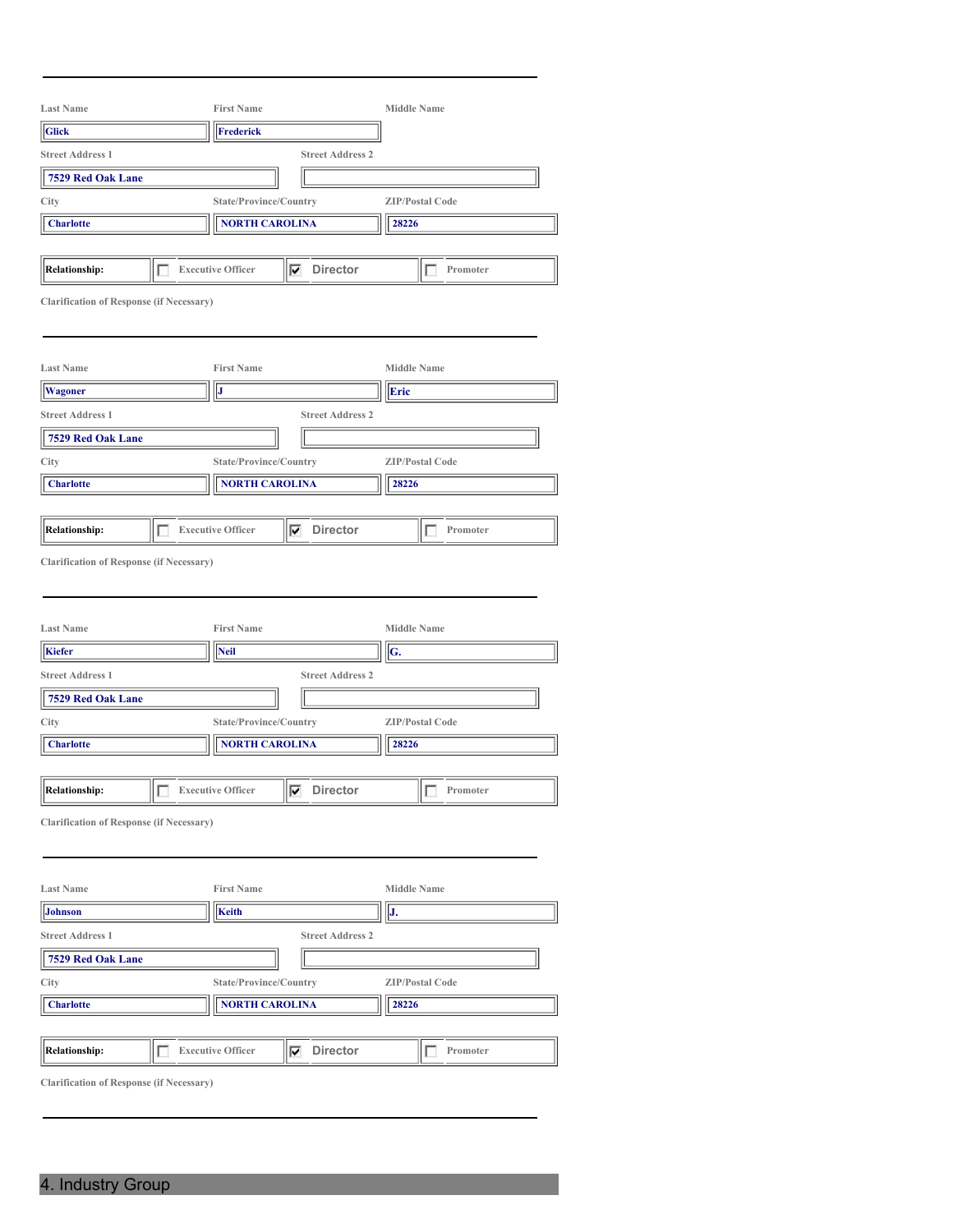| <b>Last Name</b>                                |   | <b>First Name</b>                |                         | <b>Middle Name</b>       |          |
|-------------------------------------------------|---|----------------------------------|-------------------------|--------------------------|----------|
| <b>Glick</b>                                    |   | <b>Frederick</b>                 |                         |                          |          |
| <b>Street Address 1</b>                         |   | <b>Street Address 2</b>          |                         |                          |          |
| 7529 Red Oak Lane                               |   |                                  |                         |                          |          |
| City                                            |   | <b>ZIP/Postal Code</b>           |                         |                          |          |
| <b>Charlotte</b>                                |   | <b>NORTH CAROLINA</b>            |                         | 28226                    |          |
|                                                 |   |                                  |                         |                          |          |
| <b>Relationship:</b>                            |   | <b>Executive Officer</b>         | <b>Director</b><br>⊽    |                          | Promoter |
| <b>Clarification of Response (if Necessary)</b> |   |                                  |                         |                          |          |
| <b>Last Name</b>                                |   | <b>First Name</b>                |                         | <b>Middle Name</b>       |          |
| <b>Wagoner</b>                                  |   | J                                |                         | Eric                     |          |
| <b>Street Address 1</b>                         |   |                                  | <b>Street Address 2</b> |                          |          |
| 7529 Red Oak Lane                               |   |                                  |                         |                          |          |
| City                                            |   | State/Province/Country           |                         | <b>ZIP/Postal Code</b>   |          |
| <b>Charlotte</b>                                |   | <b>NORTH CAROLINA</b>            |                         | 28226                    |          |
|                                                 |   |                                  |                         |                          |          |
| <b>Relationship:</b>                            | г | <b>Executive Officer</b>         | $\nabla$ Director       |                          | Promoter |
| <b>Last Name</b><br>Kiefer                      |   | <b>First Name</b><br><b>Neil</b> |                         | <b>Middle Name</b><br>G. |          |
| <b>Street Address 1</b>                         |   |                                  | <b>Street Address 2</b> |                          |          |
| 7529 Red Oak Lane                               |   |                                  |                         |                          |          |
| City                                            |   | State/Province/Country           |                         | <b>ZIP/Postal Code</b>   |          |
| <b>Charlotte</b>                                |   | <b>NORTH CAROLINA</b>            |                         | 28226                    |          |
|                                                 |   |                                  |                         |                          |          |
| ╔<br><b>Relationship:</b>                       |   | <b>Executive Officer</b>         | ⊽<br><b>Director</b>    | L                        | Promoter |
| <b>Clarification of Response (if Necessary)</b> |   |                                  |                         |                          |          |
| <b>Last Name</b>                                |   | <b>First Name</b>                |                         | <b>Middle Name</b>       |          |
| <b>Johnson</b>                                  |   | <b>Keith</b>                     |                         | J.                       |          |
| <b>Street Address 1</b>                         |   |                                  | <b>Street Address 2</b> |                          |          |
| 7529 Red Oak Lane                               |   |                                  |                         |                          |          |
| City                                            |   | State/Province/Country           |                         | <b>ZIP/Postal Code</b>   |          |
|                                                 |   |                                  |                         |                          |          |
| <b>Charlotte</b>                                |   | <b>NORTH CAROLINA</b>            |                         | 28226                    |          |
|                                                 |   |                                  |                         |                          |          |
| <b>Relationship:</b>                            | г | <b>Executive Officer</b>         | <b>Director</b><br>⊽    | П                        | Promoter |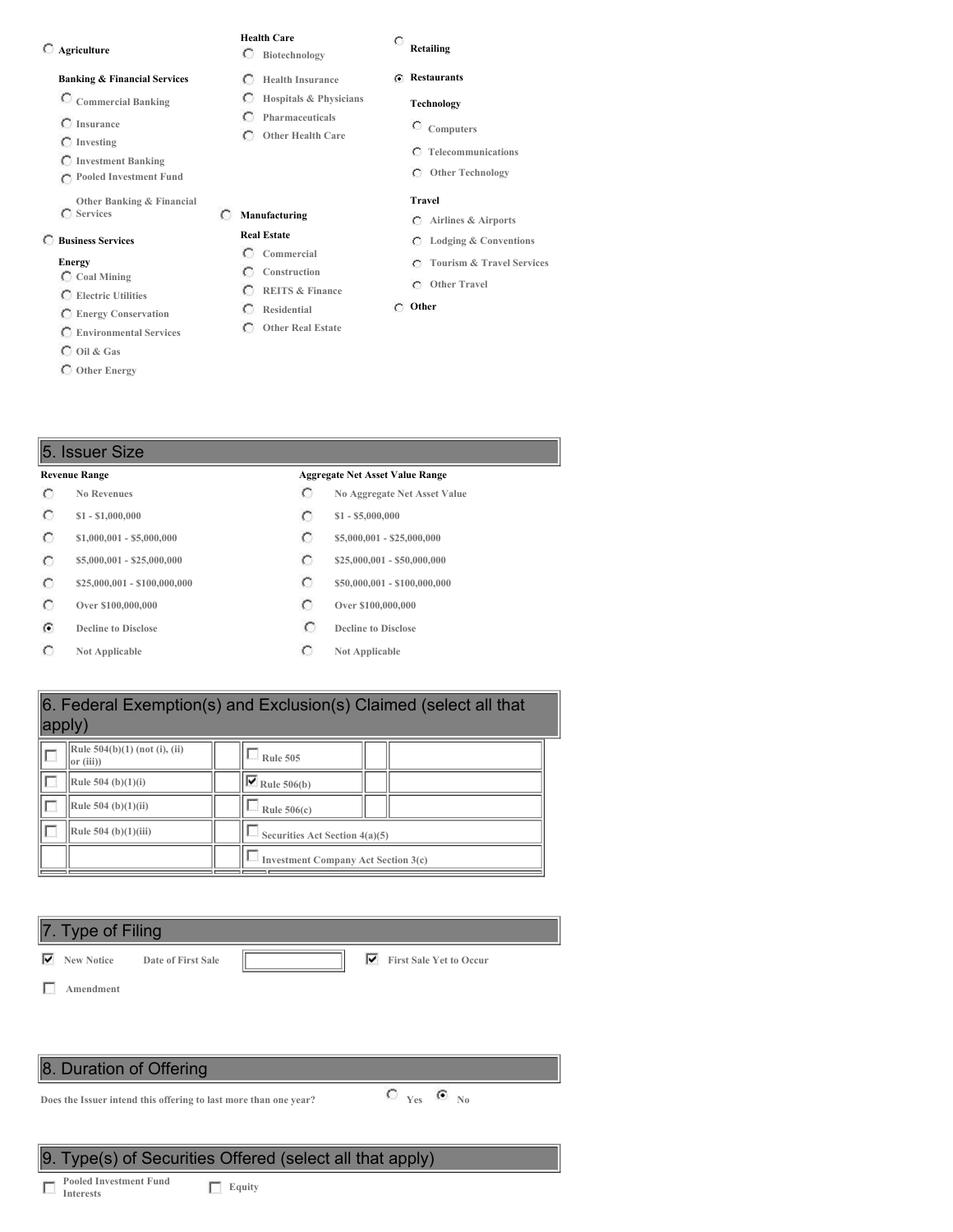#### **Agriculture**

#### **Banking & Financial Services**

- **Commercial Banking**
- **Insurance**
- **Investing**
- **Investment Banking**
- **Pooled Investment Fund**
- **Other Banking & Financial Services**

#### **Business Services**

#### **Energy**

- **Coal Mining Electric Utilities**
- 
- **Energy Conservation Environmental Services**
- **Oil & Gas**
- 
- **Other Energy**

#### C **Retailing**

**Health Care Biotechnology Health Insurance Hospitals & Physicians Pharmaceuticals Other Health Care**

O

**Manufacturing Real Estate Commercial Construction REITS & Finance Residential Other Real Estate**

 $\circ$ 

- **Restaurants**
- **Technology**
	- **Computers**
	- **Telecommunications**
	- **Other Technology**

### **Travel**

- **Airlines & Airports**
- **Lodging & Conventions**
- **Tourism & Travel Services**
- **Other Travel**
- **Other**

# 5. Issuer Size

#### **Revenue Range Aggregate Net Asset Value Range**

- $\circ$
- $\circ$
- $\circ$
- $\circ$
- $\circ$
- $\circ$
- $\widehat{G}$
- $\circ$
- **No Revenues No Aggregate Net Asset Value**
- **\$1 - \$1,000,000 \$1 - \$5,000,000**
- **\$1,000,001 - \$5,000,000 \$5,000,000 \$5,000,001 \$25,000,000** 
	-
	-
- **Decline to Disclose Decline to Disclose**
- **Not Applicable C Not Applicable**

# 6. Federal Exemption(s) and Exclusion(s) Claimed (select all that apply)

| Rule $504(b)(1)$ (not (i), (ii)<br>$\vert$ or (iii)) | <b>Rule 505</b>                            |  |  |  |
|------------------------------------------------------|--------------------------------------------|--|--|--|
| Rule 504 (b) $(1)(i)$                                | $\overline{\triangledown}$ Rule 506(b)     |  |  |  |
| Rule 504 (b) $(1)(ii)$                               | Rule $506(c)$                              |  |  |  |
| Rule 504 (b) $(1)(iii)$                              | Securities Act Section 4(a)(5)             |  |  |  |
|                                                      | <b>Investment Company Act Section 3(c)</b> |  |  |  |

## 7. Type of Filing

**New Notice Date of First Sale First Sale Yet to Occur**

**Amendment**

# 8. Duration of Offering

**Does** the Issuer intend this offering to last more than one year?<br> **C**  $Y_{\text{es}}$  **G**  $_{\text{No}}$ 

# 9. Type(s) of Securities Offered (select all that apply)

**Pooled Investment Fund Interests Equity**

**\$5,000,001 - \$25,000,000 \$25,000,000 \$25,000,000 \$25,000,000 \$25,000,000 \$25,000,001 - \$100,000,000 \$50,000,001 - \$100,000,000 Over \$100,000,000 Over \$100,000,000**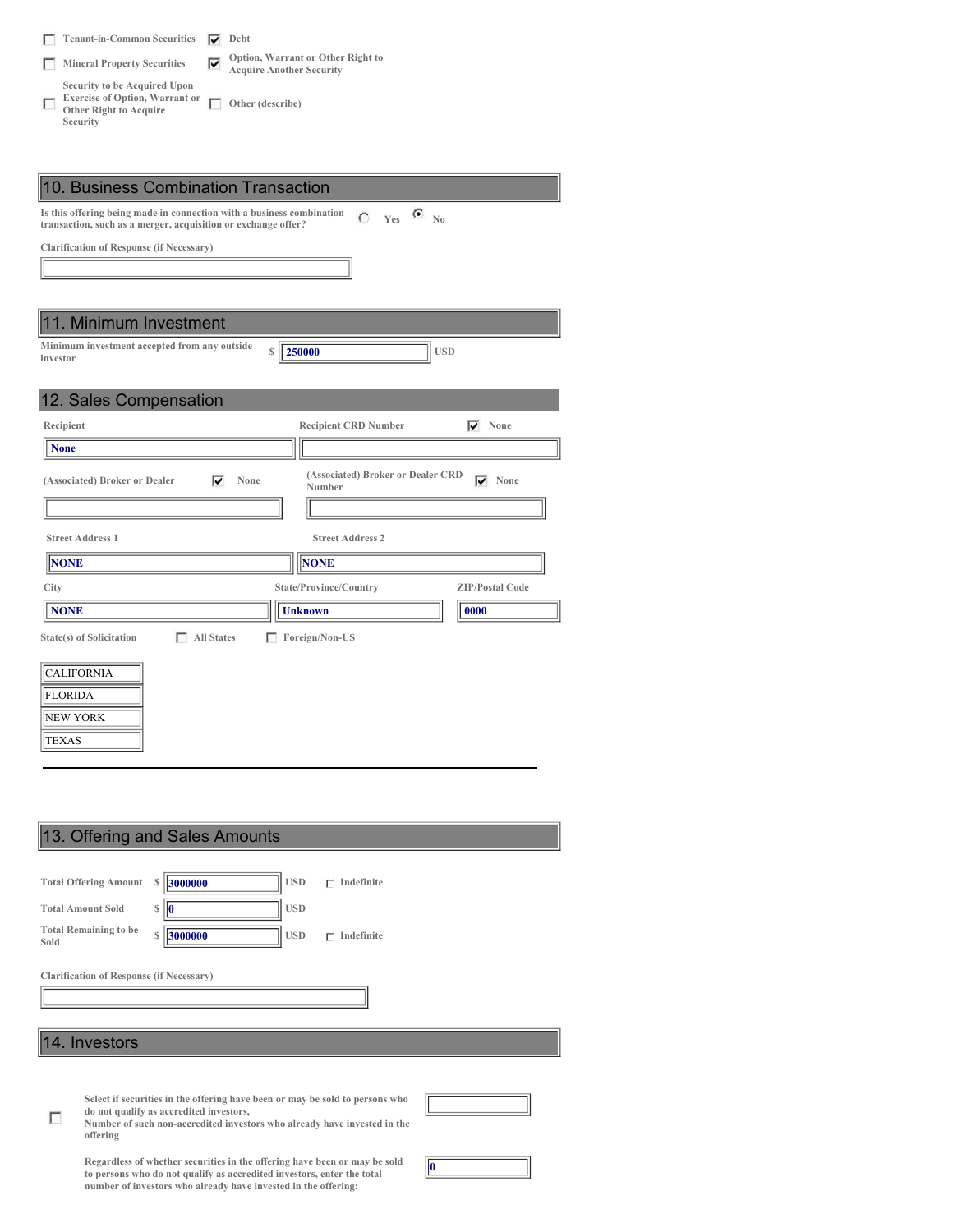| <b>Tenant-in-Common Securities</b>                                                                                 |    | Debt                                                                 |
|--------------------------------------------------------------------------------------------------------------------|----|----------------------------------------------------------------------|
| <b>Mineral Property Securities</b>                                                                                 | 1Й | Option, Warrant or Other Right to<br><b>Acquire Another Security</b> |
| Security to be Acquired Upon<br><b>Exercise of Option, Warrant or</b><br><b>Other Right to Acquire</b><br>Security |    | Other (describe)                                                     |

| 10. Business Combination Transaction                                                                                                                                                |
|-------------------------------------------------------------------------------------------------------------------------------------------------------------------------------------|
| Is this offering being made in connection with a business combination<br>$Y_{\text{es}}$ $\bullet$ No<br>$\bigcap$<br>transaction, such as a merger, acquisition or exchange offer? |
| <b>Clarification of Response (if Necessary)</b>                                                                                                                                     |
|                                                                                                                                                                                     |
|                                                                                                                                                                                     |
| 11. Minimum Investment                                                                                                                                                              |
| Minimum investment accepted from any outside<br>250000<br><b>USD</b><br>S<br>investor                                                                                               |
|                                                                                                                                                                                     |
| 12. Sales Compensation                                                                                                                                                              |
| Recipient<br><b>Recipient CRD Number</b><br>None<br>⊽                                                                                                                               |
| <b>None</b>                                                                                                                                                                         |
| (Associated) Broker or Dealer CRD<br>⊽<br>⊽<br>None<br>(Associated) Broker or Dealer<br>None<br>Number                                                                              |
|                                                                                                                                                                                     |
| <b>Street Address 1</b><br><b>Street Address 2</b>                                                                                                                                  |
| <b>NONE</b><br><b>NONE</b>                                                                                                                                                          |
| <b>ZIP/Postal Code</b><br>City<br>State/Province/Country                                                                                                                            |
| <b>NONE</b><br>0000<br><b>Unknown</b>                                                                                                                                               |
| <b>State(s)</b> of Solicitation<br><b>All States</b><br>Foreign/Non-US<br>г                                                                                                         |
| <b>CALIFORNIA</b><br><b>FLORIDA</b><br>NEW YORK<br><b>TEXAS</b>                                                                                                                     |

 $\overline{\phantom{a}}$ 

|      | 13. Offering and Sales Amounts                                                                                                                                                                                  |              |  |  |  |  |
|------|-----------------------------------------------------------------------------------------------------------------------------------------------------------------------------------------------------------------|--------------|--|--|--|--|
|      |                                                                                                                                                                                                                 |              |  |  |  |  |
|      | <b>USD</b><br>3000000<br><b>Total Offering Amount</b><br>Indefinite<br>s<br>г                                                                                                                                   |              |  |  |  |  |
|      | <b>USD</b><br>S<br><b>Total Amount Sold</b><br>10                                                                                                                                                               |              |  |  |  |  |
| Sold | <b>Total Remaining to be</b><br>S<br><b>USD</b><br>3000000<br>Indefinite<br>г                                                                                                                                   |              |  |  |  |  |
|      | <b>Clarification of Response (if Necessary)</b>                                                                                                                                                                 |              |  |  |  |  |
|      |                                                                                                                                                                                                                 |              |  |  |  |  |
|      |                                                                                                                                                                                                                 |              |  |  |  |  |
|      | 14. Investors                                                                                                                                                                                                   |              |  |  |  |  |
|      |                                                                                                                                                                                                                 |              |  |  |  |  |
|      | Select if securities in the offering have been or may be sold to persons who<br>do not qualify as accredited investors,<br>Number of such non-accredited investors who already have invested in the<br>offering |              |  |  |  |  |
|      | Regardless of whether securities in the offering have been or may be sold<br>to persons who do not qualify as accredited investors, enter the total                                                             | $\mathbf{0}$ |  |  |  |  |

Regardless of whether securities in the offering have been or may be sold<br>to persons who do not qualify as accredited investors, enter the total<br>number of investors who already have invested in the offering: